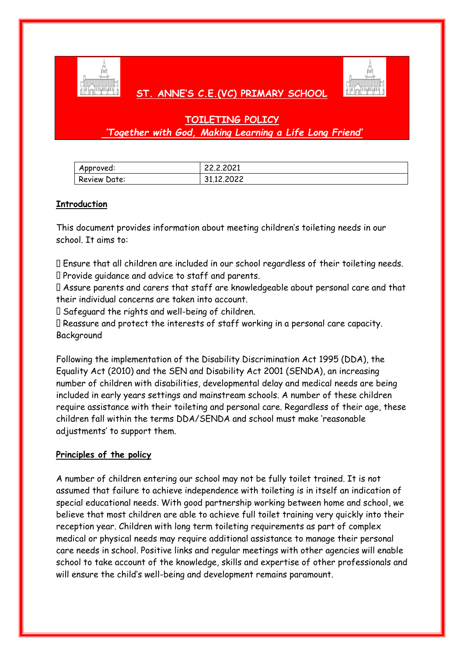

# **ST. ANNE'S C.E.(VC) PRIMARY SCHOOL**



# **TOILETING POLICY** *'Together with God, Making Learning a Life Long Friend'*

| Approved:    | 22,2,2021  |
|--------------|------------|
| Review Date: | 31.12.2022 |

# **Introduction**

This document provides information about meeting children's toileting needs in our school. It aims to:

Ensure that all children are included in our school regardless of their toileting needs. Provide guidance and advice to staff and parents.

Assure parents and carers that staff are knowledgeable about personal care and that their individual concerns are taken into account.

Safeguard the rights and well-being of children.

Reassure and protect the interests of staff working in a personal care capacity. Background

Following the implementation of the Disability Discrimination Act 1995 (DDA), the Equality Act (2010) and the SEN and Disability Act 2001 (SENDA), an increasing number of children with disabilities, developmental delay and medical needs are being included in early years settings and mainstream schools. A number of these children require assistance with their toileting and personal care. Regardless of their age, these children fall within the terms DDA/SENDA and school must make 'reasonable adjustments' to support them.

## **Principles of the policy**

A number of children entering our school may not be fully toilet trained. It is not assumed that failure to achieve independence with toileting is in itself an indication of special educational needs. With good partnership working between home and school, we believe that most children are able to achieve full toilet training very quickly into their reception year. Children with long term toileting requirements as part of complex medical or physical needs may require additional assistance to manage their personal care needs in school. Positive links and regular meetings with other agencies will enable school to take account of the knowledge, skills and expertise of other professionals and will ensure the child's well-being and development remains paramount.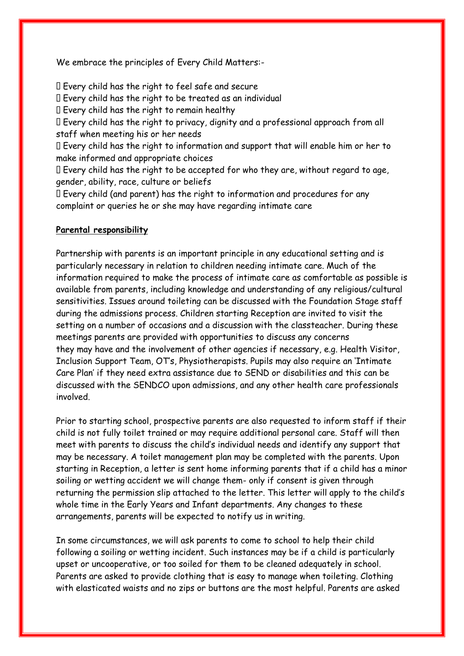We embrace the principles of Every Child Matters:-

Every child has the right to feel safe and secure

Every child has the right to be treated as an individual

Every child has the right to remain healthy

Every child has the right to privacy, dignity and a professional approach from all staff when meeting his or her needs

Every child has the right to information and support that will enable him or her to make informed and appropriate choices

Every child has the right to be accepted for who they are, without regard to age, gender, ability, race, culture or beliefs

Every child (and parent) has the right to information and procedures for any complaint or queries he or she may have regarding intimate care

#### **Parental responsibility**

Partnership with parents is an important principle in any educational setting and is particularly necessary in relation to children needing intimate care. Much of the information required to make the process of intimate care as comfortable as possible is available from parents, including knowledge and understanding of any religious/cultural sensitivities. Issues around toileting can be discussed with the Foundation Stage staff during the admissions process. Children starting Reception are invited to visit the setting on a number of occasions and a discussion with the classteacher. During these meetings parents are provided with opportunities to discuss any concerns they may have and the involvement of other agencies if necessary, e.g. Health Visitor, Inclusion Support Team, OT's, Physiotherapists. Pupils may also require an 'Intimate Care Plan' if they need extra assistance due to SEND or disabilities and this can be discussed with the SENDCO upon admissions, and any other health care professionals involved.

Prior to starting school, prospective parents are also requested to inform staff if their child is not fully toilet trained or may require additional personal care. Staff will then meet with parents to discuss the child's individual needs and identify any support that may be necessary. A toilet management plan may be completed with the parents. Upon starting in Reception, a letter is sent home informing parents that if a child has a minor soiling or wetting accident we will change them- only if consent is given through returning the permission slip attached to the letter. This letter will apply to the child's whole time in the Early Years and Infant departments. Any changes to these arrangements, parents will be expected to notify us in writing.

In some circumstances, we will ask parents to come to school to help their child following a soiling or wetting incident. Such instances may be if a child is particularly upset or uncooperative, or too soiled for them to be cleaned adequately in school. Parents are asked to provide clothing that is easy to manage when toileting. Clothing with elasticated waists and no zips or buttons are the most helpful. Parents are asked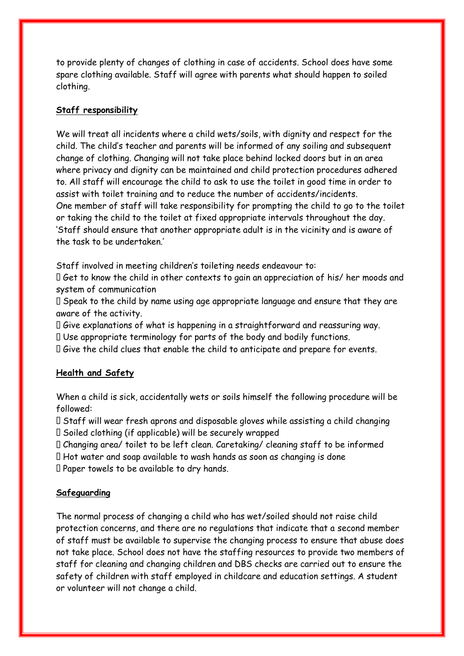to provide plenty of changes of clothing in case of accidents. School does have some spare clothing available. Staff will agree with parents what should happen to soiled clothing.

### **Staff responsibility**

We will treat all incidents where a child wets/soils, with dignity and respect for the child. The child's teacher and parents will be informed of any soiling and subsequent change of clothing. Changing will not take place behind locked doors but in an area where privacy and dignity can be maintained and child protection procedures adhered to. All staff will encourage the child to ask to use the toilet in good time in order to assist with toilet training and to reduce the number of accidents/incidents. One member of staff will take responsibility for prompting the child to go to the toilet or taking the child to the toilet at fixed appropriate intervals throughout the day. 'Staff should ensure that another appropriate adult is in the vicinity and is aware of the task to be undertaken.'

Staff involved in meeting children's toileting needs endeavour to:

Get to know the child in other contexts to gain an appreciation of his/ her moods and system of communication

 $\Box$  Speak to the child by name using age appropriate language and ensure that they are aware of the activity.

Give explanations of what is happening in a straightforward and reassuring way.

Use appropriate terminology for parts of the body and bodily functions.

Give the child clues that enable the child to anticipate and prepare for events.

#### **Health and Safety**

When a child is sick, accidentally wets or soils himself the following procedure will be followed:

 $\Box$  Staff will wear fresh aprons and disposable gloves while assisting a child changing

 $\square$  Soiled clothing (if applicable) will be securely wrapped

Changing area/ toilet to be left clean. Caretaking/ cleaning staff to be informed

 $\Box$  Hot water and soap available to wash hands as soon as changing is done

Paper towels to be available to dry hands.

## **Safeguarding**

The normal process of changing a child who has wet/soiled should not raise child protection concerns, and there are no regulations that indicate that a second member of staff must be available to supervise the changing process to ensure that abuse does not take place. School does not have the staffing resources to provide two members of staff for cleaning and changing children and DBS checks are carried out to ensure the safety of children with staff employed in childcare and education settings. A student or volunteer will not change a child.